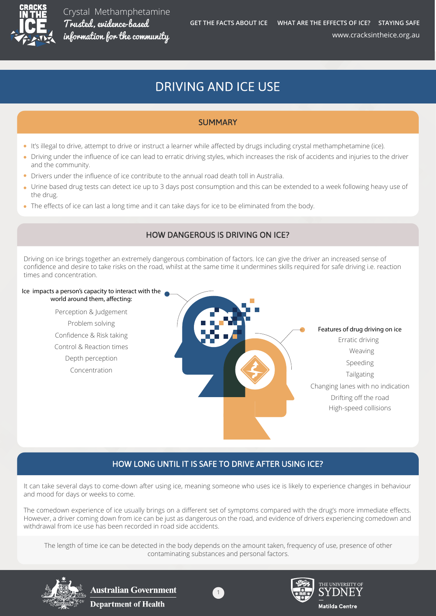

# **DRIVING AND ICE USE**

## **SUMMARY**

- It's illegal to drive, attempt to drive or instruct a learner while affected by drugs including crystal methamphetamine (ice).
- Driving under the influence of ice can lead to erratic driving styles, which increases the risk of accidents and injuries to the driver and the community.
- Drivers under the influence of ice contribute to the annual road death toll in Australia.
- Urine based drug tests can detect ice up to 3 days post consumption and this can be extended to a week following heavy use of the drug.
- The effects of ice can last a long time and it can take days for ice to be eliminated from the body.

### **HOW DANGEROUS IS DRIVING ON ICE?**

Driving on ice brings together an extremely dangerous combination of factors. Ice can give the driver an increased sense of confidence and desire to take risks on the road, whilst at the same time it undermines skills required for safe driving i.e. reaction times and concentration.

#### **Ice impacts a person's capacity to interact with the**  world around them, affecting:

Perception & Judgement Problem solving Confidence & Risk taking Control & Reaction times Depth perception Concentration



## HOW LONG UNTIL IT IS SAFE TO DRIVE AFTER USING ICE?

It can take several days to come-down after using ice, meaning someone who uses ice is likely to experience changes in behaviour and mood for days or weeks to come.

The comedown experience of ice usually brings on a different set of symptoms compared with the drug's more immediate effects. However, a driver coming down from ice can be just as dangerous on the road, and evidence of drivers experiencing comedown and withdrawal from ice use has been recorded in road side accidents.

The length of time ice can be detected in the body depends on the amount taken, frequency of use, presence of other contaminating substances and personal factors.



**Australian Government Department of Health** 



1

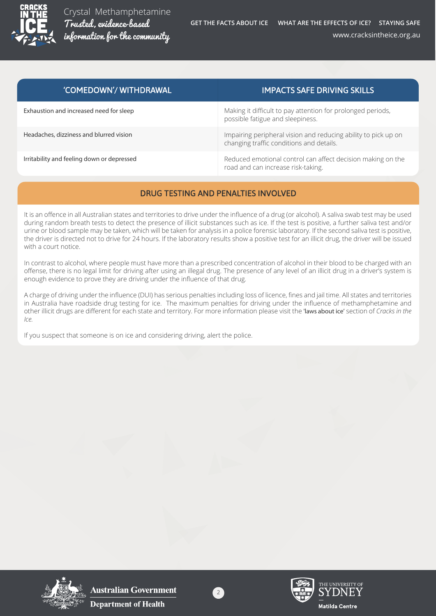

| 'COMEDOWN'/ WITHDRAWAL                     | <b>IMPACTS SAFE DRIVING SKILLS</b>                                                                         |
|--------------------------------------------|------------------------------------------------------------------------------------------------------------|
| Exhaustion and increased need for sleep    | Making it difficult to pay attention for prolonged periods,<br>possible fatigue and sleepiness.            |
| Headaches, dizziness and blurred vision    | Impairing peripheral vision and reducing ability to pick up on<br>changing traffic conditions and details. |
| Irritability and feeling down or depressed | Reduced emotional control can affect decision making on the<br>road and can increase risk-taking.          |

## DRUG TESTING AND PENALTIES INVOLVED

It is an offence in all Australian states and territories to drive under the influence of a drug (or alcohol). A saliva swab test may be used during random breath tests to detect the presence of illicit substances such as ice. If the test is positive, a further saliva test and/or urine or blood sample may be taken, which will be taken for analysis in a police forensic laboratory. If the second saliva test is positive, the driver is directed not to drive for 24 hours. If the laboratory results show a positive test for an illicit drug, the driver will be issued with a court notice.

In contrast to alcohol, where people must have more than a prescribed concentration of alcohol in their blood to be charged with an offense, there is no legal limit for driving after using an illegal drug. The presence of any level of an illicit drug in a driver's system is enough evidence to prove they are driving under the influence of that drug.

A charge of driving under the influence (DUI) has serious penalties including loss of licence, fines and jail time. All states and territories in Australia have roadside drug testing for ice. The maximum penalties for driving under the influence of methamphetamine and other illicit drugs are different for each state and territory. For more information please visit the **'laws about ice'** section of *Cracks in the Ice.*

If you suspect that someone is on ice and considering driving, alert the police.



**Australian Government Department of Health** 





THE UNIVERSITY OI